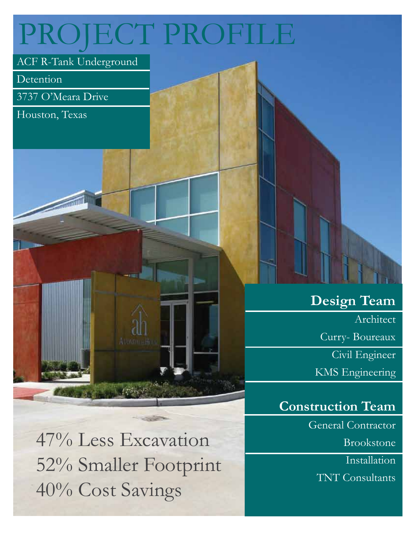# PROJECT PROFILE

## ACF R-Tank Underground

Detention

3737 O'Meara Drive

**STATISTICS** 

Houston, Texas

47% Less Excavation 52% Smaller Footprint 40% Cost Savings

## **Design Team**

Architect

Curry- Boureaux

Civil Engineer

KMS Engineering

## **Construction Team**

General Contractor

Brookstone

**Installation** 

TNT Consultants